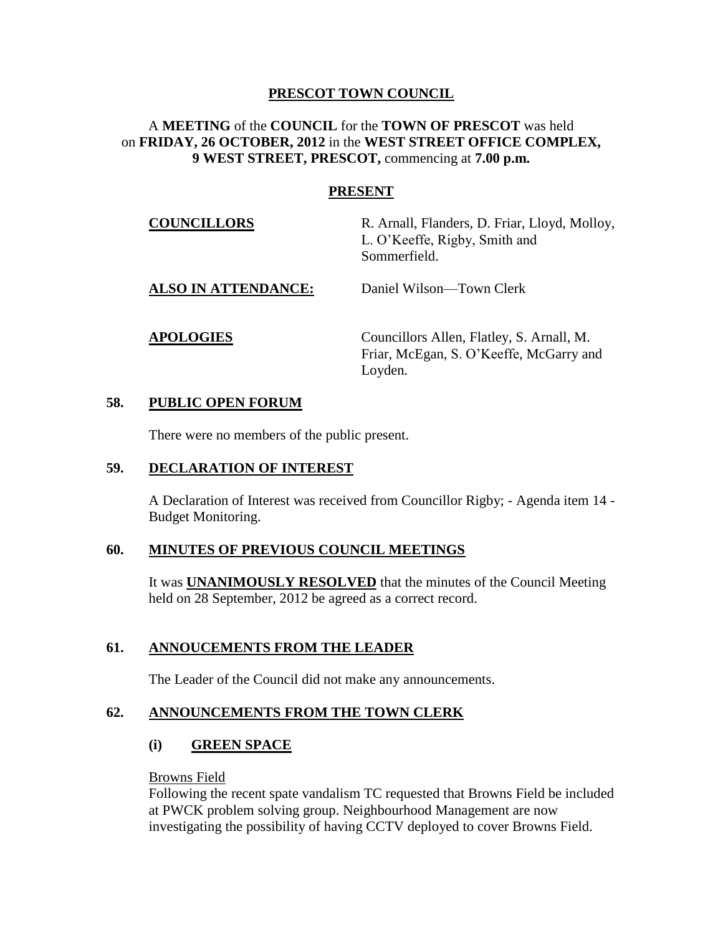### **PRESCOT TOWN COUNCIL**

### A **MEETING** of the **COUNCIL** for the **TOWN OF PRESCOT** was held on **FRIDAY, 26 OCTOBER, 2012** in the **WEST STREET OFFICE COMPLEX, 9 WEST STREET, PRESCOT,** commencing at **7.00 p.m.**

#### **PRESENT**

| <b>COUNCILLORS</b>         | R. Arnall, Flanders, D. Friar, Lloyd, Molloy,<br>L. O'Keeffe, Rigby, Smith and<br>Sommerfield. |
|----------------------------|------------------------------------------------------------------------------------------------|
| <b>ALSO IN ATTENDANCE:</b> | Daniel Wilson—Town Clerk                                                                       |
| <b>APOLOGIES</b>           | Councillors Allen, Flatley, S. Arnall, M.<br>Friar, McEgan, S. O'Keeffe, McGarry and           |

Loyden.

#### **58. PUBLIC OPEN FORUM**

There were no members of the public present.

#### **59. DECLARATION OF INTEREST**

A Declaration of Interest was received from Councillor Rigby; - Agenda item 14 - Budget Monitoring.

#### **60. MINUTES OF PREVIOUS COUNCIL MEETINGS**

It was **UNANIMOUSLY RESOLVED** that the minutes of the Council Meeting held on 28 September, 2012 be agreed as a correct record.

#### **61. ANNOUCEMENTS FROM THE LEADER**

The Leader of the Council did not make any announcements.

#### **62. ANNOUNCEMENTS FROM THE TOWN CLERK**

#### **(i) GREEN SPACE**

#### Browns Field

Following the recent spate vandalism TC requested that Browns Field be included at PWCK problem solving group. Neighbourhood Management are now investigating the possibility of having CCTV deployed to cover Browns Field.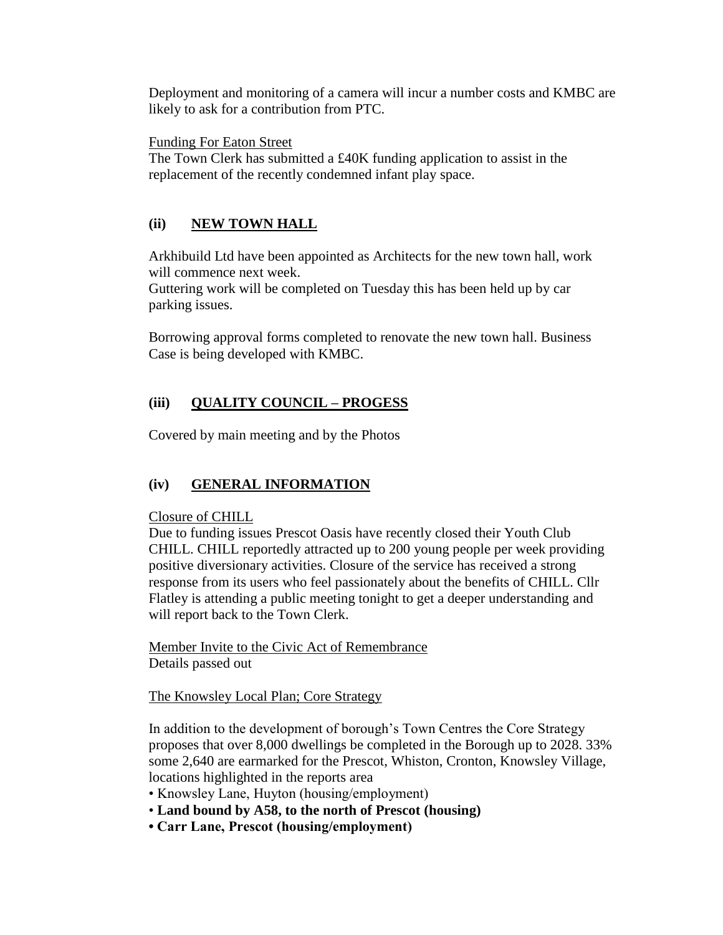Deployment and monitoring of a camera will incur a number costs and KMBC are likely to ask for a contribution from PTC.

Funding For Eaton Street

The Town Clerk has submitted a £40K funding application to assist in the replacement of the recently condemned infant play space.

# **(ii) NEW TOWN HALL**

Arkhibuild Ltd have been appointed as Architects for the new town hall, work will commence next week.

Guttering work will be completed on Tuesday this has been held up by car parking issues.

Borrowing approval forms completed to renovate the new town hall. Business Case is being developed with KMBC.

# **(iii) QUALITY COUNCIL – PROGESS**

Covered by main meeting and by the Photos

# **(iv) GENERAL INFORMATION**

Closure of CHILL

Due to funding issues Prescot Oasis have recently closed their Youth Club CHILL. CHILL reportedly attracted up to 200 young people per week providing positive diversionary activities. Closure of the service has received a strong response from its users who feel passionately about the benefits of CHILL. Cllr Flatley is attending a public meeting tonight to get a deeper understanding and will report back to the Town Clerk.

Member Invite to the Civic Act of Remembrance Details passed out

The Knowsley Local Plan; Core Strategy

In addition to the development of borough's Town Centres the Core Strategy proposes that over 8,000 dwellings be completed in the Borough up to 2028. 33% some 2,640 are earmarked for the Prescot, Whiston, Cronton, Knowsley Village, locations highlighted in the reports area

• Knowsley Lane, Huyton (housing/employment)

- **Land bound by A58, to the north of Prescot (housing)**
- **Carr Lane, Prescot (housing/employment)**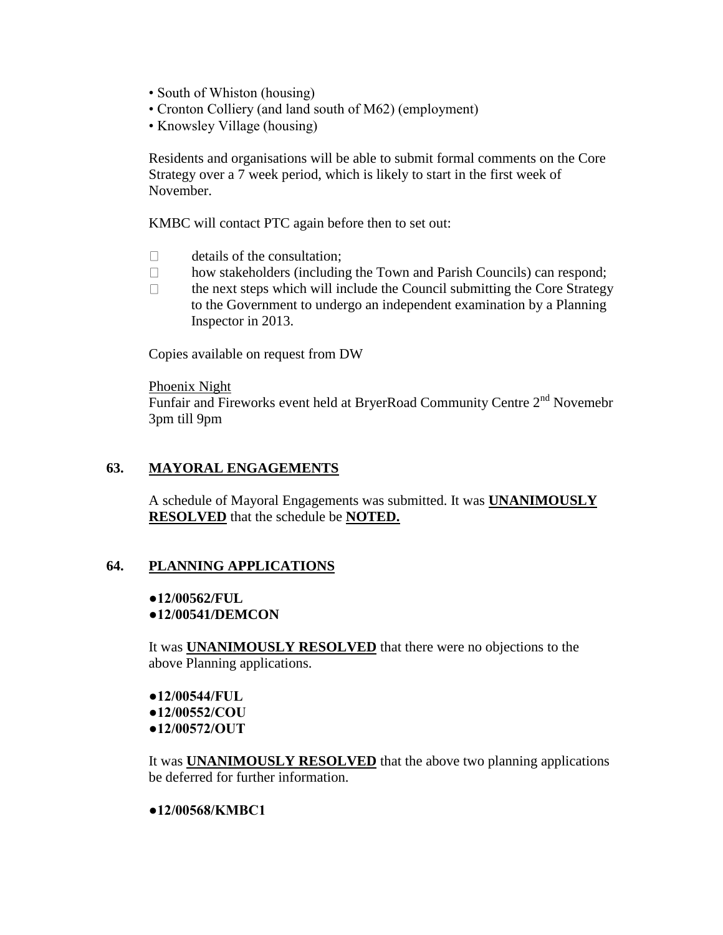- South of Whiston (housing)
- Cronton Colliery (and land south of M62) (employment)
- Knowsley Village (housing)

Residents and organisations will be able to submit formal comments on the Core Strategy over a 7 week period, which is likely to start in the first week of November.

KMBC will contact PTC again before then to set out:

- $\Box$  details of the consultation:
- $\Box$  how stakeholders (including the Town and Parish Councils) can respond;
- $\Box$  the next steps which will include the Council submitting the Core Strategy to the Government to undergo an independent examination by a Planning Inspector in 2013.

Copies available on request from DW

#### Phoenix Night

Funfair and Fireworks event held at BryerRoad Community Centre 2<sup>nd</sup> Novemebr 3pm till 9pm

### **63. MAYORAL ENGAGEMENTS**

A schedule of Mayoral Engagements was submitted. It was **UNANIMOUSLY RESOLVED** that the schedule be **NOTED.**

#### **64. PLANNING APPLICATIONS**

#### **●12/00562/FUL ●12/00541/DEMCON**

It was **UNANIMOUSLY RESOLVED** that there were no objections to the above Planning applications.

**●12/00544/FUL ●12/00552/COU ●12/00572/OUT**

It was **UNANIMOUSLY RESOLVED** that the above two planning applications be deferred for further information.

#### **●12/00568/KMBC1**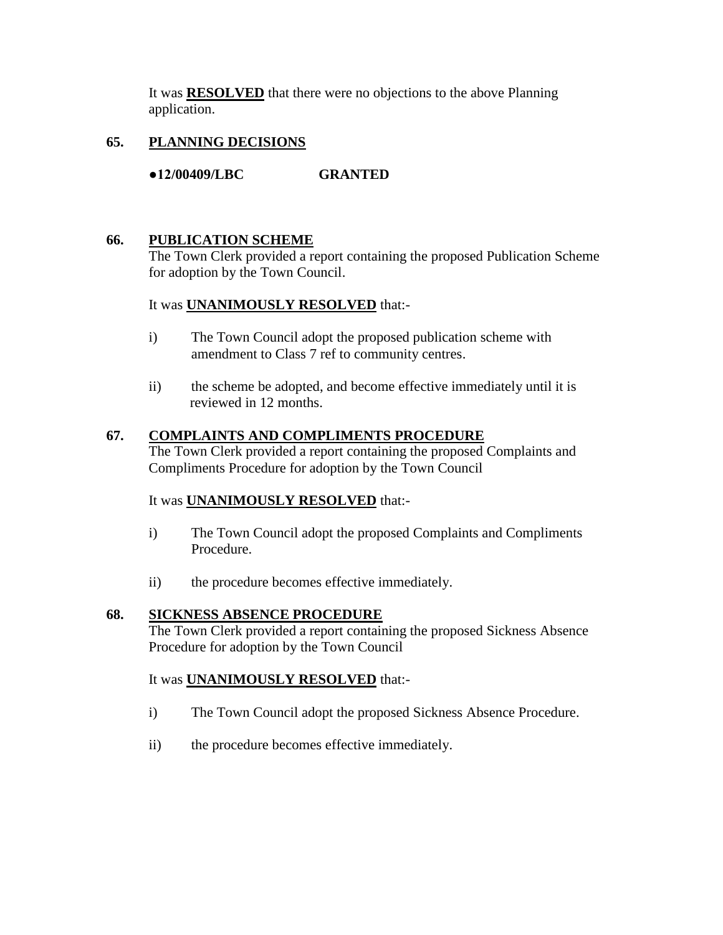It was **RESOLVED** that there were no objections to the above Planning application.

# **65. PLANNING DECISIONS**

**●12/00409/LBC GRANTED**

# **66. PUBLICATION SCHEME**

The Town Clerk provided a report containing the proposed Publication Scheme for adoption by the Town Council.

# It was **UNANIMOUSLY RESOLVED** that:-

- i) The Town Council adopt the proposed publication scheme with amendment to Class 7 ref to community centres.
- ii) the scheme be adopted, and become effective immediately until it is reviewed in 12 months.

# **67. COMPLAINTS AND COMPLIMENTS PROCEDURE**

The Town Clerk provided a report containing the proposed Complaints and Compliments Procedure for adoption by the Town Council

# It was **UNANIMOUSLY RESOLVED** that:-

- i) The Town Council adopt the proposed Complaints and Compliments Procedure.
- ii) the procedure becomes effective immediately.

# **68. SICKNESS ABSENCE PROCEDURE**

The Town Clerk provided a report containing the proposed Sickness Absence Procedure for adoption by the Town Council

# It was **UNANIMOUSLY RESOLVED** that:-

- i) The Town Council adopt the proposed Sickness Absence Procedure.
- ii) the procedure becomes effective immediately.